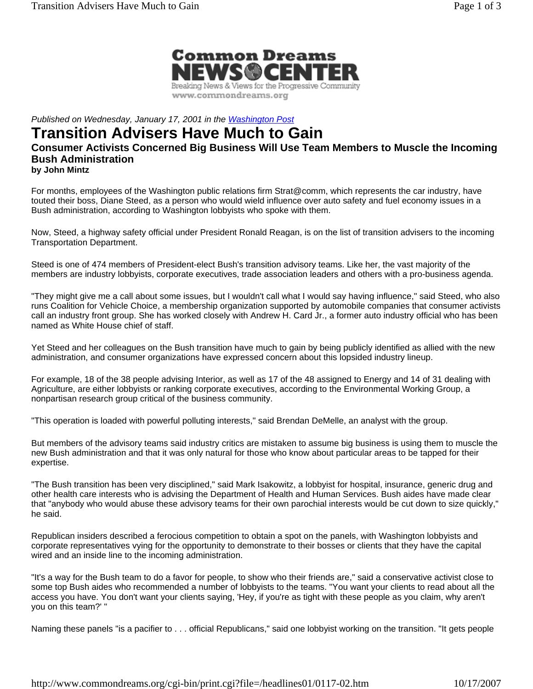

*Published on Wednesday, January 17, 2001 in the Washington Post*

## **Transition Advisers Have Much to Gain**

## **Consumer Activists Concerned Big Business Will Use Team Members to Muscle the Incoming Bush Administration**

**by John Mintz**

For months, employees of the Washington public relations firm Strat@comm, which represents the car industry, have touted their boss, Diane Steed, as a person who would wield influence over auto safety and fuel economy issues in a Bush administration, according to Washington lobbyists who spoke with them.

Now, Steed, a highway safety official under President Ronald Reagan, is on the list of transition advisers to the incoming Transportation Department.

Steed is one of 474 members of President-elect Bush's transition advisory teams. Like her, the vast majority of the members are industry lobbyists, corporate executives, trade association leaders and others with a pro-business agenda.

"They might give me a call about some issues, but I wouldn't call what I would say having influence," said Steed, who also runs Coalition for Vehicle Choice, a membership organization supported by automobile companies that consumer activists call an industry front group. She has worked closely with Andrew H. Card Jr., a former auto industry official who has been named as White House chief of staff.

Yet Steed and her colleagues on the Bush transition have much to gain by being publicly identified as allied with the new administration, and consumer organizations have expressed concern about this lopsided industry lineup.

For example, 18 of the 38 people advising Interior, as well as 17 of the 48 assigned to Energy and 14 of 31 dealing with Agriculture, are either lobbyists or ranking corporate executives, according to the Environmental Working Group, a nonpartisan research group critical of the business community.

"This operation is loaded with powerful polluting interests," said Brendan DeMelle, an analyst with the group.

But members of the advisory teams said industry critics are mistaken to assume big business is using them to muscle the new Bush administration and that it was only natural for those who know about particular areas to be tapped for their expertise.

"The Bush transition has been very disciplined," said Mark Isakowitz, a lobbyist for hospital, insurance, generic drug and other health care interests who is advising the Department of Health and Human Services. Bush aides have made clear that "anybody who would abuse these advisory teams for their own parochial interests would be cut down to size quickly," he said.

Republican insiders described a ferocious competition to obtain a spot on the panels, with Washington lobbyists and corporate representatives vying for the opportunity to demonstrate to their bosses or clients that they have the capital wired and an inside line to the incoming administration.

"It's a way for the Bush team to do a favor for people, to show who their friends are," said a conservative activist close to some top Bush aides who recommended a number of lobbyists to the teams. "You want your clients to read about all the access you have. You don't want your clients saying, 'Hey, if you're as tight with these people as you claim, why aren't you on this team?' "

Naming these panels "is a pacifier to . . . official Republicans," said one lobbyist working on the transition. "It gets people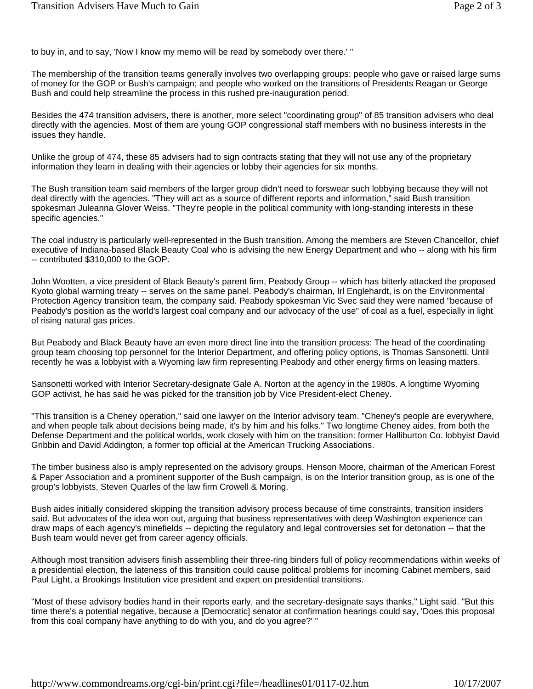to buy in, and to say, 'Now I know my memo will be read by somebody over there.' "

The membership of the transition teams generally involves two overlapping groups: people who gave or raised large sums of money for the GOP or Bush's campaign; and people who worked on the transitions of Presidents Reagan or George Bush and could help streamline the process in this rushed pre-inauguration period.

Besides the 474 transition advisers, there is another, more select "coordinating group" of 85 transition advisers who deal directly with the agencies. Most of them are young GOP congressional staff members with no business interests in the issues they handle.

Unlike the group of 474, these 85 advisers had to sign contracts stating that they will not use any of the proprietary information they learn in dealing with their agencies or lobby their agencies for six months.

The Bush transition team said members of the larger group didn't need to forswear such lobbying because they will not deal directly with the agencies. "They will act as a source of different reports and information," said Bush transition spokesman Juleanna Glover Weiss. "They're people in the political community with long-standing interests in these specific agencies."

The coal industry is particularly well-represented in the Bush transition. Among the members are Steven Chancellor, chief executive of Indiana-based Black Beauty Coal who is advising the new Energy Department and who -- along with his firm -- contributed \$310,000 to the GOP.

John Wootten, a vice president of Black Beauty's parent firm, Peabody Group -- which has bitterly attacked the proposed Kyoto global warming treaty -- serves on the same panel. Peabody's chairman, Irl Englehardt, is on the Environmental Protection Agency transition team, the company said. Peabody spokesman Vic Svec said they were named "because of Peabody's position as the world's largest coal company and our advocacy of the use" of coal as a fuel, especially in light of rising natural gas prices.

But Peabody and Black Beauty have an even more direct line into the transition process: The head of the coordinating group team choosing top personnel for the Interior Department, and offering policy options, is Thomas Sansonetti. Until recently he was a lobbyist with a Wyoming law firm representing Peabody and other energy firms on leasing matters.

Sansonetti worked with Interior Secretary-designate Gale A. Norton at the agency in the 1980s. A longtime Wyoming GOP activist, he has said he was picked for the transition job by Vice President-elect Cheney.

"This transition is a Cheney operation," said one lawyer on the Interior advisory team. "Cheney's people are everywhere, and when people talk about decisions being made, it's by him and his folks." Two longtime Cheney aides, from both the Defense Department and the political worlds, work closely with him on the transition: former Halliburton Co. lobbyist David Gribbin and David Addington, a former top official at the American Trucking Associations.

The timber business also is amply represented on the advisory groups. Henson Moore, chairman of the American Forest & Paper Association and a prominent supporter of the Bush campaign, is on the Interior transition group, as is one of the group's lobbyists, Steven Quarles of the law firm Crowell & Moring.

Bush aides initially considered skipping the transition advisory process because of time constraints, transition insiders said. But advocates of the idea won out, arguing that business representatives with deep Washington experience can draw maps of each agency's minefields -- depicting the regulatory and legal controversies set for detonation -- that the Bush team would never get from career agency officials.

Although most transition advisers finish assembling their three-ring binders full of policy recommendations within weeks of a presidential election, the lateness of this transition could cause political problems for incoming Cabinet members, said Paul Light, a Brookings Institution vice president and expert on presidential transitions.

"Most of these advisory bodies hand in their reports early, and the secretary-designate says thanks," Light said. "But this time there's a potential negative, because a [Democratic] senator at confirmation hearings could say, 'Does this proposal from this coal company have anything to do with you, and do you agree?' "